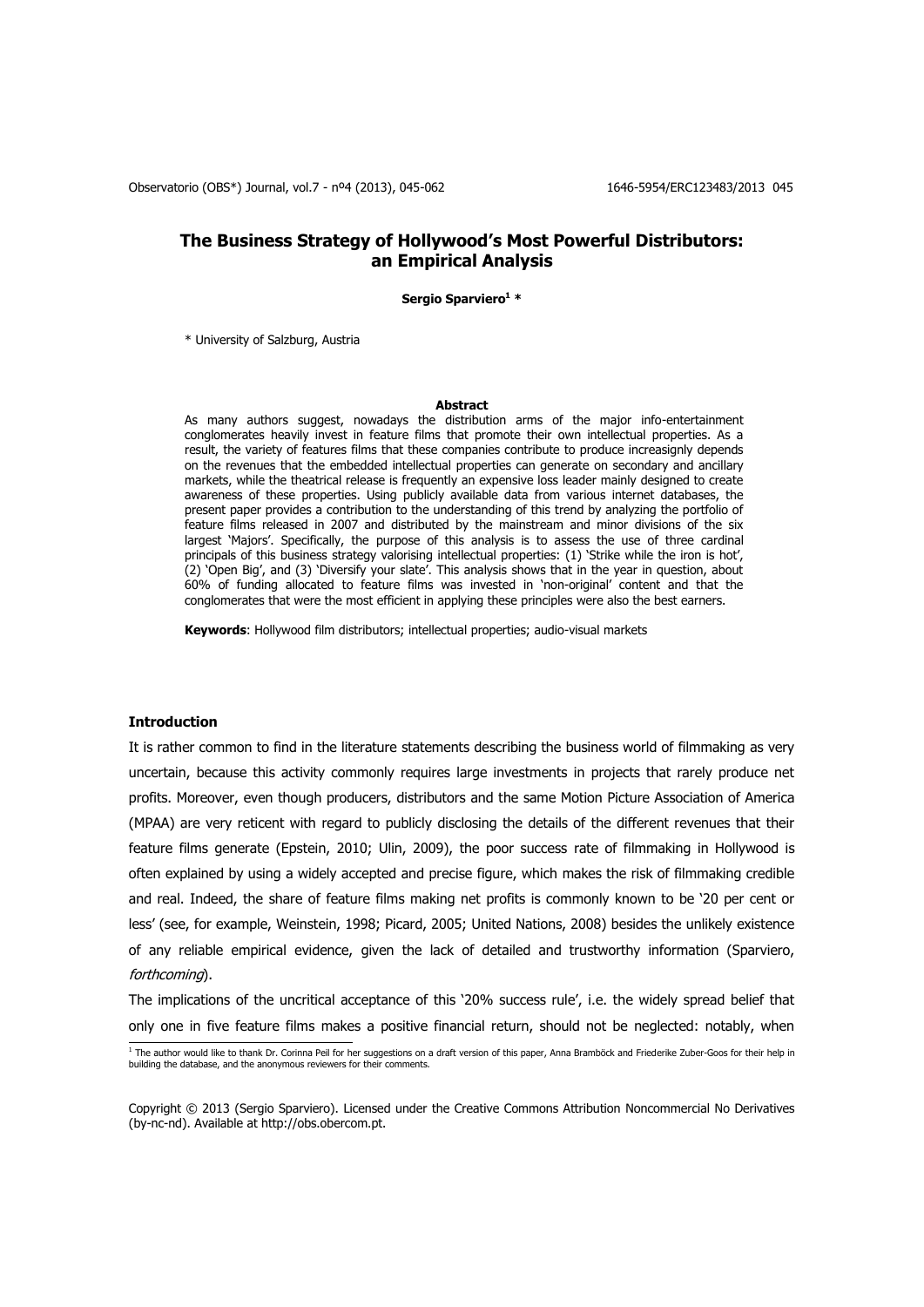# **The Business Strategy of Hollywood's Most Powerful Distributors: an Empirical Analysis**

**Sergio Sparviero<sup>1</sup> \***

\* University of Salzburg, Austria

#### **Abstract**

As many authors suggest, nowadays the distribution arms of the major info-entertainment conglomerates heavily invest in feature films that promote their own intellectual properties. As a result, the variety of features films that these companies contribute to produce increasignly depends on the revenues that the embedded intellectual properties can generate on secondary and ancillary markets, while the theatrical release is frequently an expensive loss leader mainly designed to create awareness of these properties. Using publicly available data from various internet databases, the present paper provides a contribution to the understanding of this trend by analyzing the portfolio of feature films released in 2007 and distributed by the mainstream and minor divisions of the six largest 'Majors'. Specifically, the purpose of this analysis is to assess the use of three cardinal principals of this business strategy valorising intellectual properties: (1) 'Strike while the iron is hot', (2) 'Open Big', and (3) 'Diversify your slate'. This analysis shows that in the year in question, about 60% of funding allocated to feature films was invested in 'non-original' content and that the conglomerates that were the most efficient in applying these principles were also the best earners.

**Keywords**: Hollywood film distributors; intellectual properties; audio-visual markets

#### **Introduction**

It is rather common to find in the literature statements describing the business world of filmmaking as very uncertain, because this activity commonly requires large investments in projects that rarely produce net profits. Moreover, even though producers, distributors and the same Motion Picture Association of America (MPAA) are very reticent with regard to publicly disclosing the details of the different revenues that their feature films generate (Epstein, 2010; Ulin, 2009), the poor success rate of filmmaking in Hollywood is often explained by using a widely accepted and precise figure, which makes the risk of filmmaking credible and real. Indeed, the share of feature films making net profits is commonly known to be '20 per cent or less' (see, for example, Weinstein, 1998; Picard, 2005; United Nations, 2008) besides the unlikely existence of any reliable empirical evidence, given the lack of detailed and trustworthy information (Sparviero, forthcoming).

The implications of the uncritical acceptance of this '20% success rule', i.e. the widely spread belief that only one in five feature films makes a positive financial return, should not be neglected: notably, when

<sup>&</sup>lt;sup>1</sup> The author would like to thank Dr. Corinna Peil for her suggestions on a draft version of this paper, Anna Bramböck and Friederike Zuber-Goos for their help in<br>building the database, and the anonymous reviewers for the

Copyright © 2013 (Sergio Sparviero). Licensed under the Creative Commons Attribution Noncommercial No Derivatives (by-nc-nd). Available at http://obs.obercom.pt.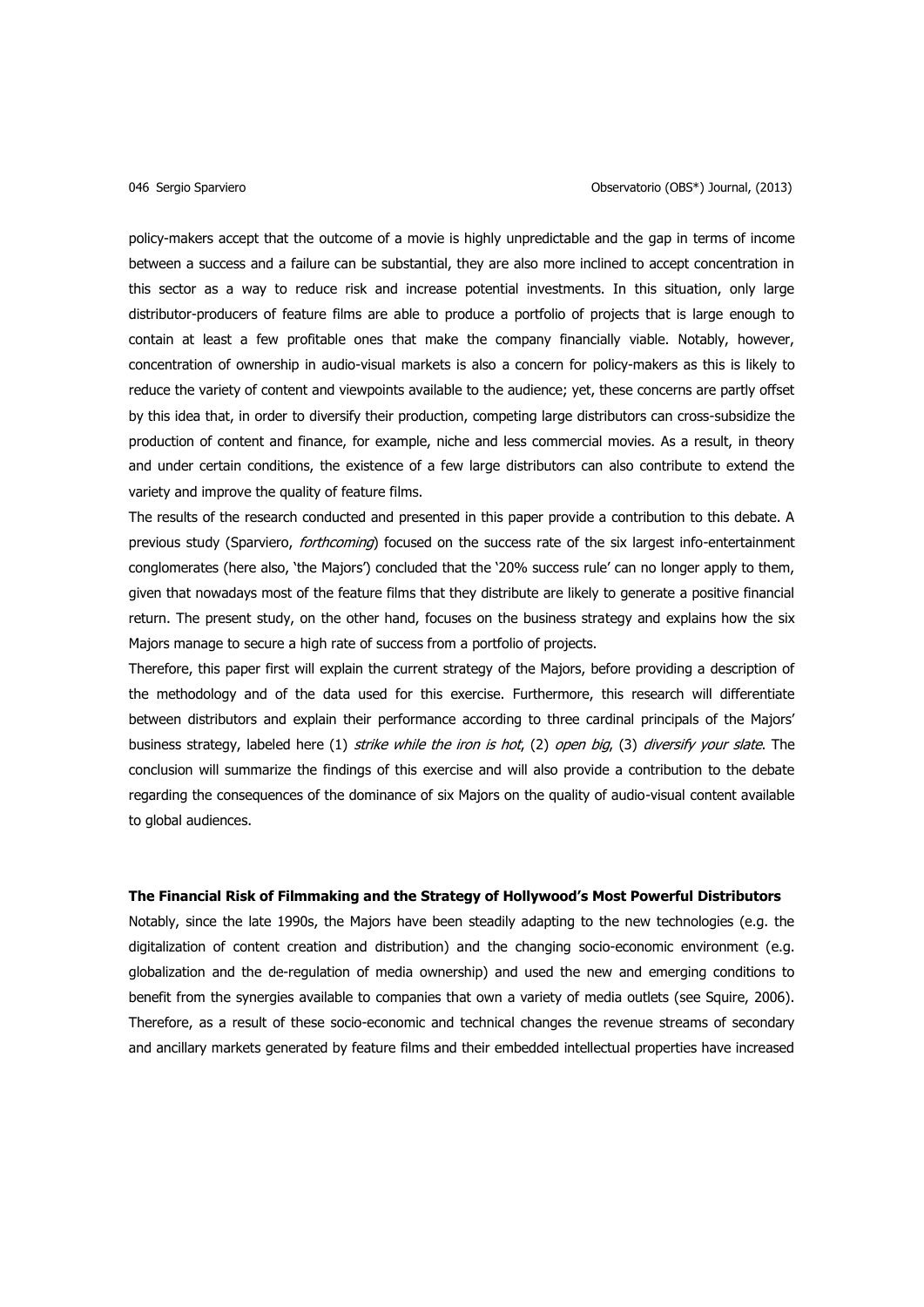policy-makers accept that the outcome of a movie is highly unpredictable and the gap in terms of income between a success and a failure can be substantial, they are also more inclined to accept concentration in this sector as a way to reduce risk and increase potential investments. In this situation, only large distributor-producers of feature films are able to produce a portfolio of projects that is large enough to contain at least a few profitable ones that make the company financially viable. Notably, however, concentration of ownership in audio-visual markets is also a concern for policy-makers as this is likely to reduce the variety of content and viewpoints available to the audience; yet, these concerns are partly offset by this idea that, in order to diversify their production, competing large distributors can cross-subsidize the production of content and finance, for example, niche and less commercial movies. As a result, in theory and under certain conditions, the existence of a few large distributors can also contribute to extend the variety and improve the quality of feature films.

The results of the research conducted and presented in this paper provide a contribution to this debate. A previous study (Sparviero, *forthcoming*) focused on the success rate of the six largest info-entertainment conglomerates (here also, 'the Majors') concluded that the '20% success rule' can no longer apply to them, given that nowadays most of the feature films that they distribute are likely to generate a positive financial return. The present study, on the other hand, focuses on the business strategy and explains how the six Majors manage to secure a high rate of success from a portfolio of projects.

Therefore, this paper first will explain the current strategy of the Majors, before providing a description of the methodology and of the data used for this exercise. Furthermore, this research will differentiate between distributors and explain their performance according to three cardinal principals of the Majors' business strategy, labeled here (1) strike while the iron is hot, (2) open big, (3) diversify your slate. The conclusion will summarize the findings of this exercise and will also provide a contribution to the debate regarding the consequences of the dominance of six Majors on the quality of audio-visual content available to global audiences.

### **The Financial Risk of Filmmaking and the Strategy of Hollywood's Most Powerful Distributors**

Notably, since the late 1990s, the Majors have been steadily adapting to the new technologies (e.g. the digitalization of content creation and distribution) and the changing socio-economic environment (e.g. globalization and the de-regulation of media ownership) and used the new and emerging conditions to benefit from the synergies available to companies that own a variety of media outlets (see Squire, 2006). Therefore, as a result of these socio-economic and technical changes the revenue streams of secondary and ancillary markets generated by feature films and their embedded intellectual properties have increased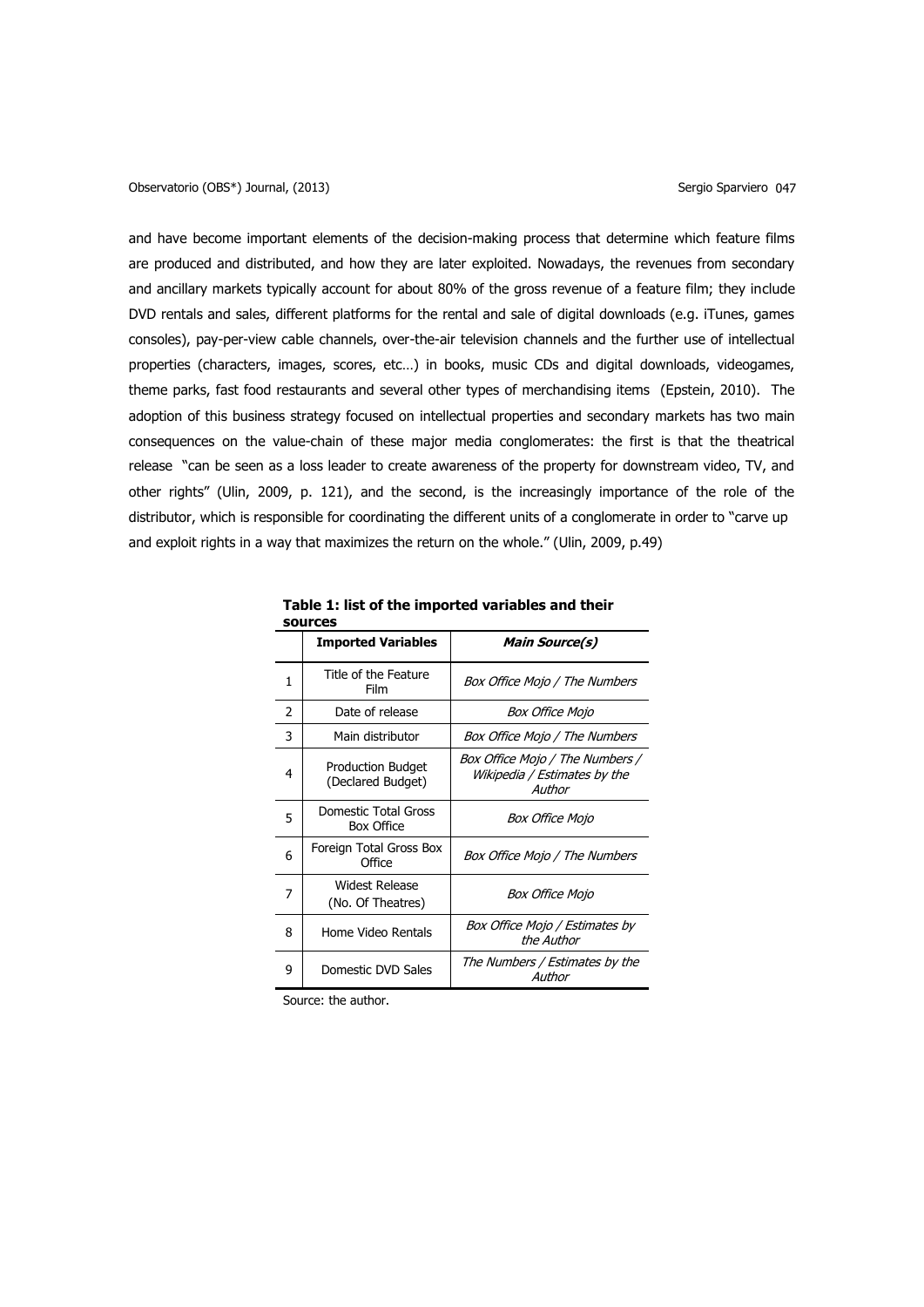and have become important elements of the decision-making process that determine which feature films are produced and distributed, and how they are later exploited. Nowadays, the revenues from secondary and ancillary markets typically account for about 80% of the gross revenue of a feature film; they include DVD rentals and sales, different platforms for the rental and sale of digital downloads (e.g. iTunes, games consoles), pay-per-view cable channels, over-the-air television channels and the further use of intellectual properties (characters, images, scores, etc…) in books, music CDs and digital downloads, videogames, theme parks, fast food restaurants and several other types of merchandising items (Epstein, 2010). The adoption of this business strategy focused on intellectual properties and secondary markets has two main consequences on the value-chain of these major media conglomerates: the first is that the theatrical release "can be seen as a loss leader to create awareness of the property for downstream video, TV, and other rights" (Ulin, 2009, p. 121), and the second, is the increasingly importance of the role of the distributor, which is responsible for coordinating the different units of a conglomerate in order to "carve up and exploit rights in a way that maximizes the return on the whole." (Ulin, 2009, p.49)

| sources |                                               |                                                                           |  |  |  |
|---------|-----------------------------------------------|---------------------------------------------------------------------------|--|--|--|
|         | <b>Imported Variables</b>                     | <b>Main Source(s)</b>                                                     |  |  |  |
| 1       | Title of the Feature<br>Film                  | Box Office Mojo / The Numbers                                             |  |  |  |
| 2       | Date of release                               | <i>Box Office Mojo</i>                                                    |  |  |  |
| 3       | Main distributor                              | Box Office Mojo / The Numbers                                             |  |  |  |
| 4       | <b>Production Budget</b><br>(Declared Budget) | Box Office Mojo / The Numbers /<br>Wikipedia / Estimates by the<br>Author |  |  |  |
| 5       | Domestic Total Gross<br><b>Box Office</b>     | <b>Box Office Mojo</b>                                                    |  |  |  |
| 6       | Foreign Total Gross Box<br>Office             | Box Office Mojo / The Numbers                                             |  |  |  |
| 7       | <b>Widest Release</b><br>(No. Of Theatres)    | Box Office Mojo                                                           |  |  |  |
| 8       | Home Video Rentals                            | Box Office Mojo / Estimates by<br>the Author                              |  |  |  |
| 9       | Domestic DVD Sales                            | The Numbers / Estimates by the<br>Author                                  |  |  |  |

**Table 1: list of the imported variables and their** 

Source: the author.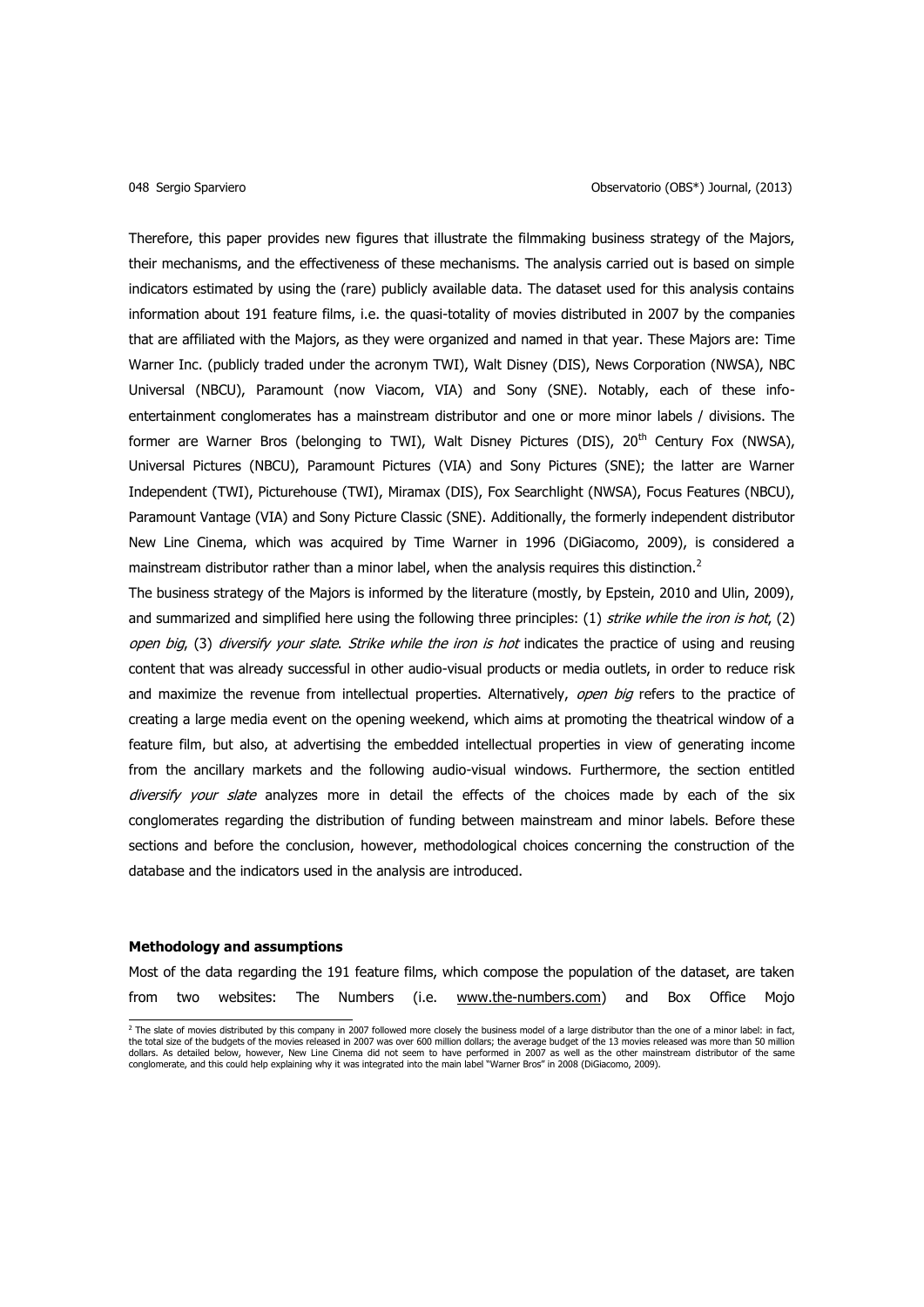Therefore, this paper provides new figures that illustrate the filmmaking business strategy of the Majors, their mechanisms, and the effectiveness of these mechanisms. The analysis carried out is based on simple indicators estimated by using the (rare) publicly available data. The dataset used for this analysis contains information about 191 feature films, i.e. the quasi-totality of movies distributed in 2007 by the companies that are affiliated with the Majors, as they were organized and named in that year. These Majors are: Time Warner Inc. (publicly traded under the acronym TWI), Walt Disney (DIS), News Corporation (NWSA), NBC Universal (NBCU), Paramount (now Viacom, VIA) and Sony (SNE). Notably, each of these infoentertainment conglomerates has a mainstream distributor and one or more minor labels / divisions. The former are Warner Bros (belonging to TWI), Walt Disney Pictures (DIS), 20<sup>th</sup> Century Fox (NWSA), Universal Pictures (NBCU), Paramount Pictures (VIA) and Sony Pictures (SNE); the latter are Warner Independent (TWI), Picturehouse (TWI), Miramax (DIS), Fox Searchlight (NWSA), Focus Features (NBCU), Paramount Vantage (VIA) and Sony Picture Classic (SNE). Additionally, the formerly independent distributor New Line Cinema, which was acquired by Time Warner in 1996 (DiGiacomo, 2009), is considered a mainstream distributor rather than a minor label, when the analysis requires this distinction.<sup>2</sup>

The business strategy of the Majors is informed by the literature (mostly, by Epstein, 2010 and Ulin, 2009), and summarized and simplified here using the following three principles:  $(1)$  strike while the iron is hot,  $(2)$ open big, (3) diversify your slate. Strike while the iron is hot indicates the practice of using and reusing content that was already successful in other audio-visual products or media outlets, in order to reduce risk and maximize the revenue from intellectual properties. Alternatively, open big refers to the practice of creating a large media event on the opening weekend, which aims at promoting the theatrical window of a feature film, but also, at advertising the embedded intellectual properties in view of generating income from the ancillary markets and the following audio-visual windows. Furthermore, the section entitled diversify your slate analyzes more in detail the effects of the choices made by each of the six conglomerates regarding the distribution of funding between mainstream and minor labels. Before these sections and before the conclusion, however, methodological choices concerning the construction of the database and the indicators used in the analysis are introduced.

### **Methodology and assumptions**

Most of the data regarding the 191 feature films, which compose the population of the dataset, are taken from two websites: The Numbers (i.e. [www.the-numbers.com\)](http://www.the-numbers.com/) and Box Office Mojo

 $^2$  The slate of movies distributed by this company in 2007 followed more closely the business model of a large distributor than the one of a minor label: in fact, the total size of the budgets of the movies released in 2007 was over 600 million dollars; the average budget of the 13 movies released was more than 50 million dollars. As detailed below, however, New Line Cinema did not seem to have performed in 2007 as well as the other mainstream distributor of the same<br>conglomerate, and this could help explaining why it was integrated into th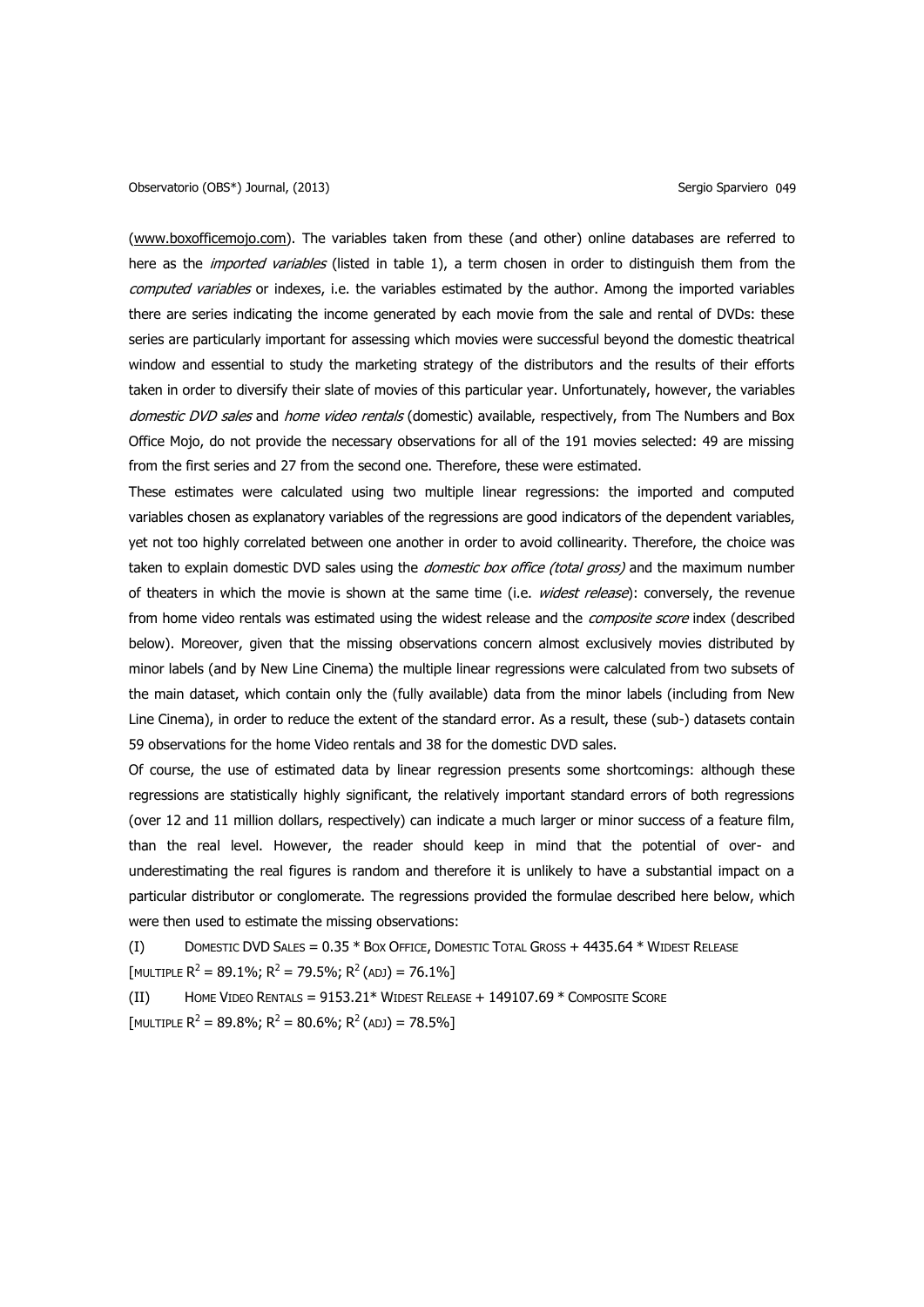[\(www.boxofficemojo.com\)](http://www.boxofficemojo.com/). The variables taken from these (and other) online databases are referred to here as the *imported variables* (listed in table 1), a term chosen in order to distinguish them from the computed variables or indexes, i.e. the variables estimated by the author. Among the imported variables there are series indicating the income generated by each movie from the sale and rental of DVDs: these series are particularly important for assessing which movies were successful beyond the domestic theatrical window and essential to study the marketing strategy of the distributors and the results of their efforts taken in order to diversify their slate of movies of this particular year. Unfortunately, however, the variables domestic DVD sales and home video rentals (domestic) available, respectively, from The Numbers and Box Office Mojo, do not provide the necessary observations for all of the 191 movies selected: 49 are missing from the first series and 27 from the second one. Therefore, these were estimated.

These estimates were calculated using two multiple linear regressions: the imported and computed variables chosen as explanatory variables of the regressions are good indicators of the dependent variables, yet not too highly correlated between one another in order to avoid collinearity. Therefore, the choice was taken to explain domestic DVD sales using the *domestic box office (total gross)* and the maximum number of theaters in which the movie is shown at the same time (i.e. widest release): conversely, the revenue from home video rentals was estimated using the widest release and the *composite score* index (described below). Moreover, given that the missing observations concern almost exclusively movies distributed by minor labels (and by New Line Cinema) the multiple linear regressions were calculated from two subsets of the main dataset, which contain only the (fully available) data from the minor labels (including from New Line Cinema), in order to reduce the extent of the standard error. As a result, these (sub-) datasets contain 59 observations for the home Video rentals and 38 for the domestic DVD sales.

Of course, the use of estimated data by linear regression presents some shortcomings: although these regressions are statistically highly significant, the relatively important standard errors of both regressions (over 12 and 11 million dollars, respectively) can indicate a much larger or minor success of a feature film, than the real level. However, the reader should keep in mind that the potential of over- and underestimating the real figures is random and therefore it is unlikely to have a substantial impact on a particular distributor or conglomerate. The regressions provided the formulae described here below, which were then used to estimate the missing observations:

(I) DOMESTIC DVD SALES = 0.35 \* BOX OFFICE, DOMESTIC TOTAL GROSS + 4435.64 \* WIDEST RELEASE [MULTIPLE  $R^2 = 89.1\%$ ;  $R^2 = 79.5\%$ ;  $R^2$  (adj) = 76.1%]

(II) HOME VIDEO RENTALS = 9153.21\* WIDEST RELEASE + 149107.69 \* COMPOSITE SCORE [MULTIPLE  $R^2 = 89.8\%$ ;  $R^2 = 80.6\%$ ;  $R^2$  (adj) = 78.5%]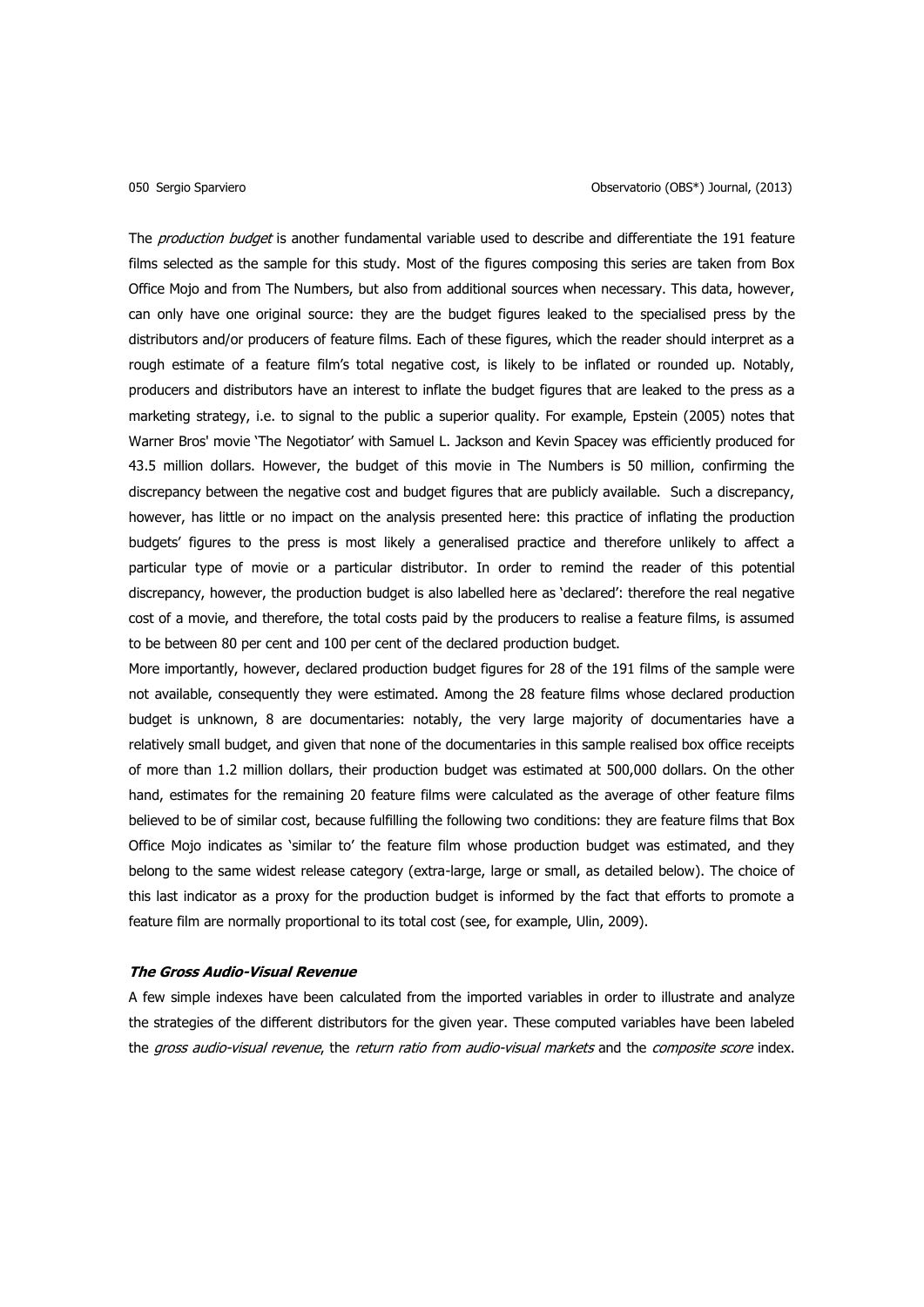The *production budget* is another fundamental variable used to describe and differentiate the 191 feature films selected as the sample for this study. Most of the figures composing this series are taken from Box Office Mojo and from The Numbers, but also from additional sources when necessary. This data, however, can only have one original source: they are the budget figures leaked to the specialised press by the distributors and/or producers of feature films. Each of these figures, which the reader should interpret as a rough estimate of a feature film's total negative cost, is likely to be inflated or rounded up. Notably, producers and distributors have an interest to inflate the budget figures that are leaked to the press as a marketing strategy, i.e. to signal to the public a superior quality. For example, Epstein (2005) notes that Warner Bros' movie 'The Negotiator' with Samuel L. Jackson and Kevin Spacey was efficiently produced for 43.5 million dollars. However, the budget of this movie in The Numbers is 50 million, confirming the discrepancy between the negative cost and budget figures that are publicly available. Such a discrepancy, however, has little or no impact on the analysis presented here: this practice of inflating the production budgets' figures to the press is most likely a generalised practice and therefore unlikely to affect a particular type of movie or a particular distributor. In order to remind the reader of this potential discrepancy, however, the production budget is also labelled here as 'declared': therefore the real negative cost of a movie, and therefore, the total costs paid by the producers to realise a feature films, is assumed to be between 80 per cent and 100 per cent of the declared production budget.

More importantly, however, declared production budget figures for 28 of the 191 films of the sample were not available, consequently they were estimated. Among the 28 feature films whose declared production budget is unknown, 8 are documentaries: notably, the very large majority of documentaries have a relatively small budget, and given that none of the documentaries in this sample realised box office receipts of more than 1.2 million dollars, their production budget was estimated at 500,000 dollars. On the other hand, estimates for the remaining 20 feature films were calculated as the average of other feature films believed to be of similar cost, because fulfilling the following two conditions: they are feature films that Box Office Mojo indicates as 'similar to' the feature film whose production budget was estimated, and they belong to the same widest release category (extra-large, large or small, as detailed below). The choice of this last indicator as a proxy for the production budget is informed by the fact that efforts to promote a feature film are normally proportional to its total cost (see, for example, Ulin, 2009).

### **The Gross Audio-Visual Revenue**

A few simple indexes have been calculated from the imported variables in order to illustrate and analyze the strategies of the different distributors for the given year. These computed variables have been labeled the gross audio-visual revenue, the return ratio from audio-visual markets and the composite score index.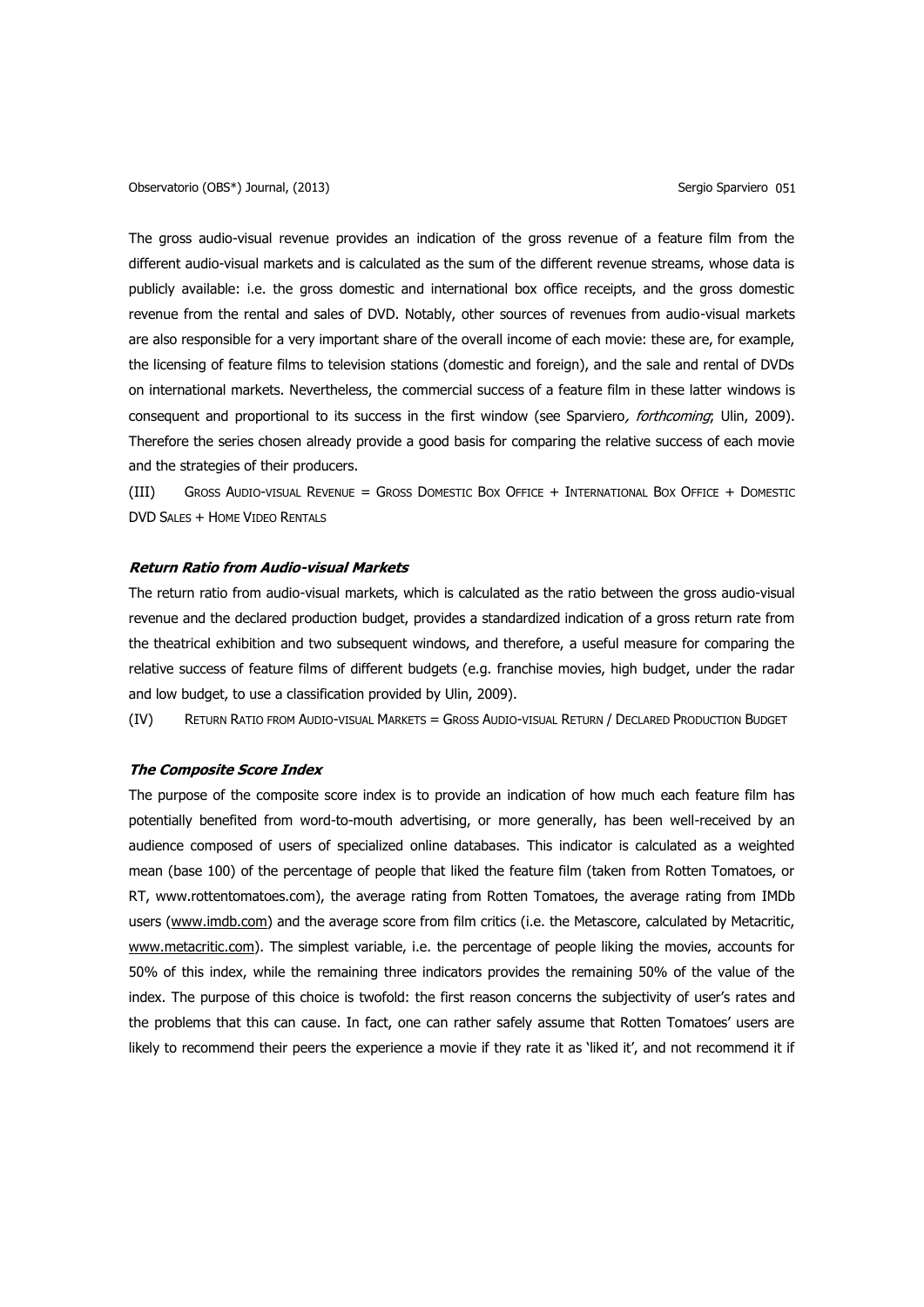Observatorio (OBS<sup>\*</sup>) Journal, (2013) Sergio Sparviero 051

The gross audio-visual revenue provides an indication of the gross revenue of a feature film from the different audio-visual markets and is calculated as the sum of the different revenue streams, whose data is publicly available: i.e. the gross domestic and international box office receipts, and the gross domestic revenue from the rental and sales of DVD. Notably, other sources of revenues from audio-visual markets are also responsible for a very important share of the overall income of each movie: these are, for example, the licensing of feature films to television stations (domestic and foreign), and the sale and rental of DVDs on international markets. Nevertheless, the commercial success of a feature film in these latter windows is consequent and proportional to its success in the first window (see Sparviero, forthcoming; Ulin, 2009). Therefore the series chosen already provide a good basis for comparing the relative success of each movie and the strategies of their producers.

(III) GROSS AUDIO-VISUAL REVENUE = GROSS DOMESTIC BOX OFFICE + INTERNATIONAL BOX OFFICE + DOMESTIC DVD SALES + HOME VIDEO RENTALS

# **Return Ratio from Audio-visual Markets**

The return ratio from audio-visual markets, which is calculated as the ratio between the gross audio-visual revenue and the declared production budget, provides a standardized indication of a gross return rate from the theatrical exhibition and two subsequent windows, and therefore, a useful measure for comparing the relative success of feature films of different budgets (e.g. franchise movies, high budget, under the radar and low budget, to use a classification provided by Ulin, 2009).

(IV) RETURN RATIO FROM AUDIO-VISUAL MARKETS = GROSS AUDIO-VISUAL RETURN / DECLARED PRODUCTION BUDGET

### **The Composite Score Index**

The purpose of the composite score index is to provide an indication of how much each feature film has potentially benefited from word-to-mouth advertising, or more generally, has been well-received by an audience composed of users of specialized online databases. This indicator is calculated as a weighted mean (base 100) of the percentage of people that liked the feature film (taken from Rotten Tomatoes, or RT, www.rottentomatoes.com), the average rating from Rotten Tomatoes, the average rating from IMDb users [\(www.imdb.com\)](http://www.imdb.com/) and the average score from film critics (i.e. the Metascore, calculated by Metacritic, [www.metacritic.com\)](http://www.metacritic.com/). The simplest variable, i.e. the percentage of people liking the movies, accounts for 50% of this index, while the remaining three indicators provides the remaining 50% of the value of the index. The purpose of this choice is twofold: the first reason concerns the subjectivity of user's rates and the problems that this can cause. In fact, one can rather safely assume that Rotten Tomatoes' users are likely to recommend their peers the experience a movie if they rate it as 'liked it', and not recommend it if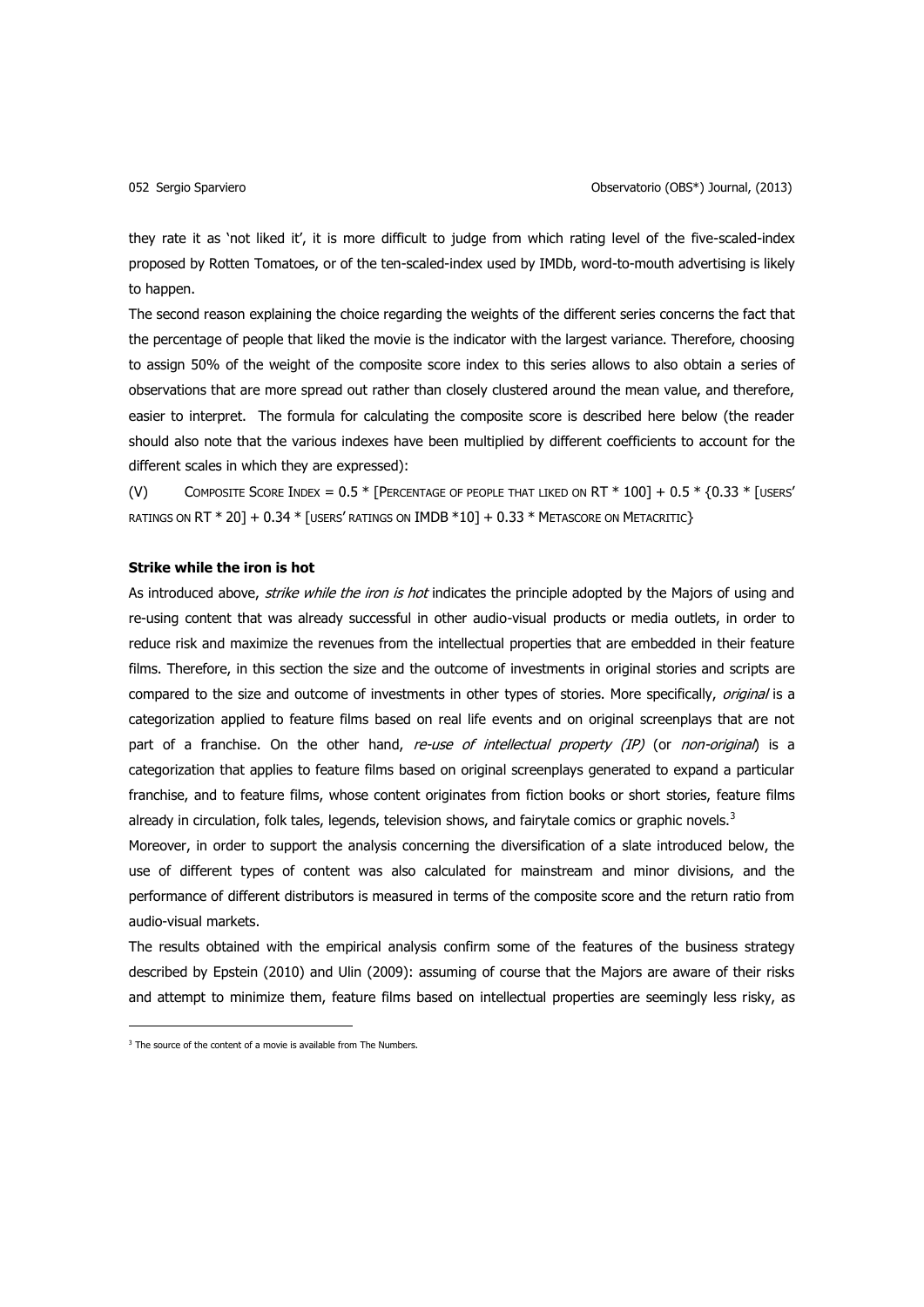they rate it as 'not liked it', it is more difficult to judge from which rating level of the five-scaled-index proposed by Rotten Tomatoes, or of the ten-scaled-index used by IMDb, word-to-mouth advertising is likely to happen.

The second reason explaining the choice regarding the weights of the different series concerns the fact that the percentage of people that liked the movie is the indicator with the largest variance. Therefore, choosing to assign 50% of the weight of the composite score index to this series allows to also obtain a series of observations that are more spread out rather than closely clustered around the mean value, and therefore, easier to interpret. The formula for calculating the composite score is described here below (the reader should also note that the various indexes have been multiplied by different coefficients to account for the different scales in which they are expressed):

(V) COMPOSITE SCORE INDEX =  $0.5 *$  [PERCENTAGE OF PEOPLE THAT LIKED ON RT  $*$  100] +  $0.5 *$  {0.33  $*$  [users' RATINGS ON RT \* 20] + 0.34 \* [USERS' RATINGS ON IMDB \*10] + 0.33 \* METASCORE ON METACRITIC}

# **Strike while the iron is hot**

As introduced above, *strike while the iron is hot* indicates the principle adopted by the Majors of using and re-using content that was already successful in other audio-visual products or media outlets, in order to reduce risk and maximize the revenues from the intellectual properties that are embedded in their feature films. Therefore, in this section the size and the outcome of investments in original stories and scripts are compared to the size and outcome of investments in other types of stories. More specifically, original is a categorization applied to feature films based on real life events and on original screenplays that are not part of a franchise. On the other hand, re-use of intellectual property (IP) (or non-original) is a categorization that applies to feature films based on original screenplays generated to expand a particular franchise, and to feature films, whose content originates from fiction books or short stories, feature films already in circulation, folk tales, legends, television shows, and fairytale comics or graphic novels. $3$ 

Moreover, in order to support the analysis concerning the diversification of a slate introduced below, the use of different types of content was also calculated for mainstream and minor divisions, and the performance of different distributors is measured in terms of the composite score and the return ratio from audio-visual markets.

The results obtained with the empirical analysis confirm some of the features of the business strategy described by Epstein (2010) and Ulin (2009): assuming of course that the Majors are aware of their risks and attempt to minimize them, feature films based on intellectual properties are seemingly less risky, as

1

 $3$  The source of the content of a movie is available from The Numbers.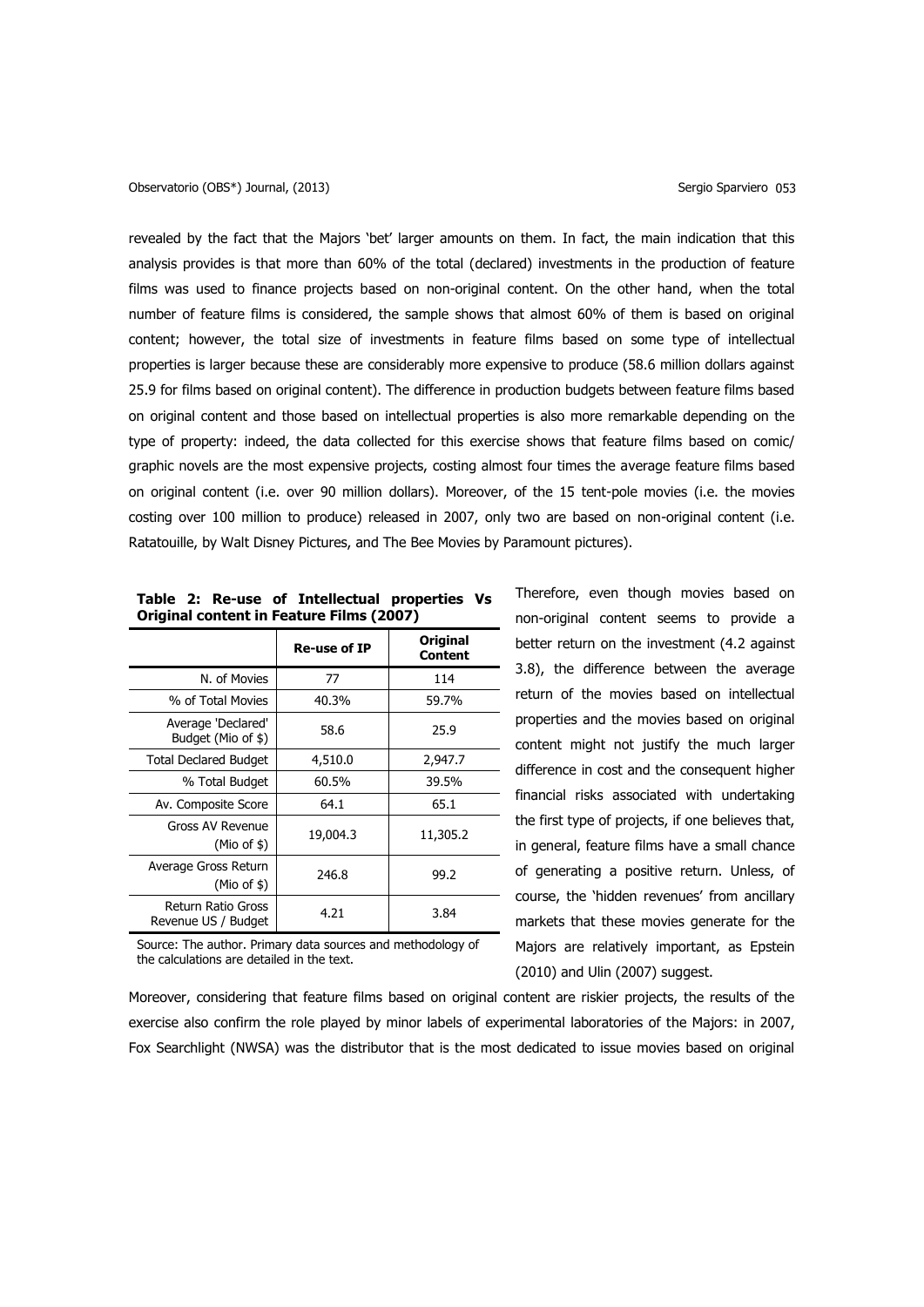## Observatorio (OBS<sup>\*</sup>) Journal, (2013) Sergio Sparviero 053

revealed by the fact that the Majors 'bet' larger amounts on them. In fact, the main indication that this analysis provides is that more than 60% of the total (declared) investments in the production of feature films was used to finance projects based on non-original content. On the other hand, when the total number of feature films is considered, the sample shows that almost 60% of them is based on original content; however, the total size of investments in feature films based on some type of intellectual properties is larger because these are considerably more expensive to produce (58.6 million dollars against 25.9 for films based on original content). The difference in production budgets between feature films based on original content and those based on intellectual properties is also more remarkable depending on the type of property: indeed, the data collected for this exercise shows that feature films based on comic/ graphic novels are the most expensive projects, costing almost four times the average feature films based on original content (i.e. over 90 million dollars). Moreover, of the 15 tent-pole movies (i.e. the movies costing over 100 million to produce) released in 2007, only two are based on non-original content (i.e. Ratatouille, by Walt Disney Pictures, and The Bee Movies by Paramount pictures).

|                                           | Re-use of IP | <b>Original</b><br>Content |  |  |  |  |
|-------------------------------------------|--------------|----------------------------|--|--|--|--|
| N. of Movies                              | 77           | 114                        |  |  |  |  |
| % of Total Movies                         | 40.3%        | 59.7%                      |  |  |  |  |
| Average 'Declared'<br>Budget (Mio of \$)  | 58.6         | 25.9                       |  |  |  |  |
| <b>Total Declared Budget</b>              | 4,510.0      | 2,947.7                    |  |  |  |  |
| % Total Budget                            | 60.5%        | 39.5%                      |  |  |  |  |
| Av. Composite Score                       | 64.1         | 65.1                       |  |  |  |  |
| Gross AV Revenue<br>(Mio of $$$ )         | 19,004.3     | 11,305.2                   |  |  |  |  |
| Average Gross Return<br>$(Mio$ of \$)     | 246.8        | 99.2                       |  |  |  |  |
| Return Ratio Gross<br>Revenue US / Budget | 4.21         | 3.84                       |  |  |  |  |

# **Table 2: Re-use of Intellectual properties Vs Original content in Feature Films (2007)**

Source: The author. Primary data sources and methodology of the calculations are detailed in the text.

non-original content seems to provide a better return on the investment (4.2 against 3.8), the difference between the average return of the movies based on intellectual properties and the movies based on original content might not justify the much larger difference in cost and the consequent higher financial risks associated with undertaking the first type of projects, if one believes that, in general, feature films have a small chance of generating a positive return. Unless, of course, the 'hidden revenues' from ancillary markets that these movies generate for the Majors are relatively important, as Epstein (2010) and Ulin (2007) suggest.

Therefore, even though movies based on

Moreover, considering that feature films based on original content are riskier projects, the results of the exercise also confirm the role played by minor labels of experimental laboratories of the Majors: in 2007, Fox Searchlight (NWSA) was the distributor that is the most dedicated to issue movies based on original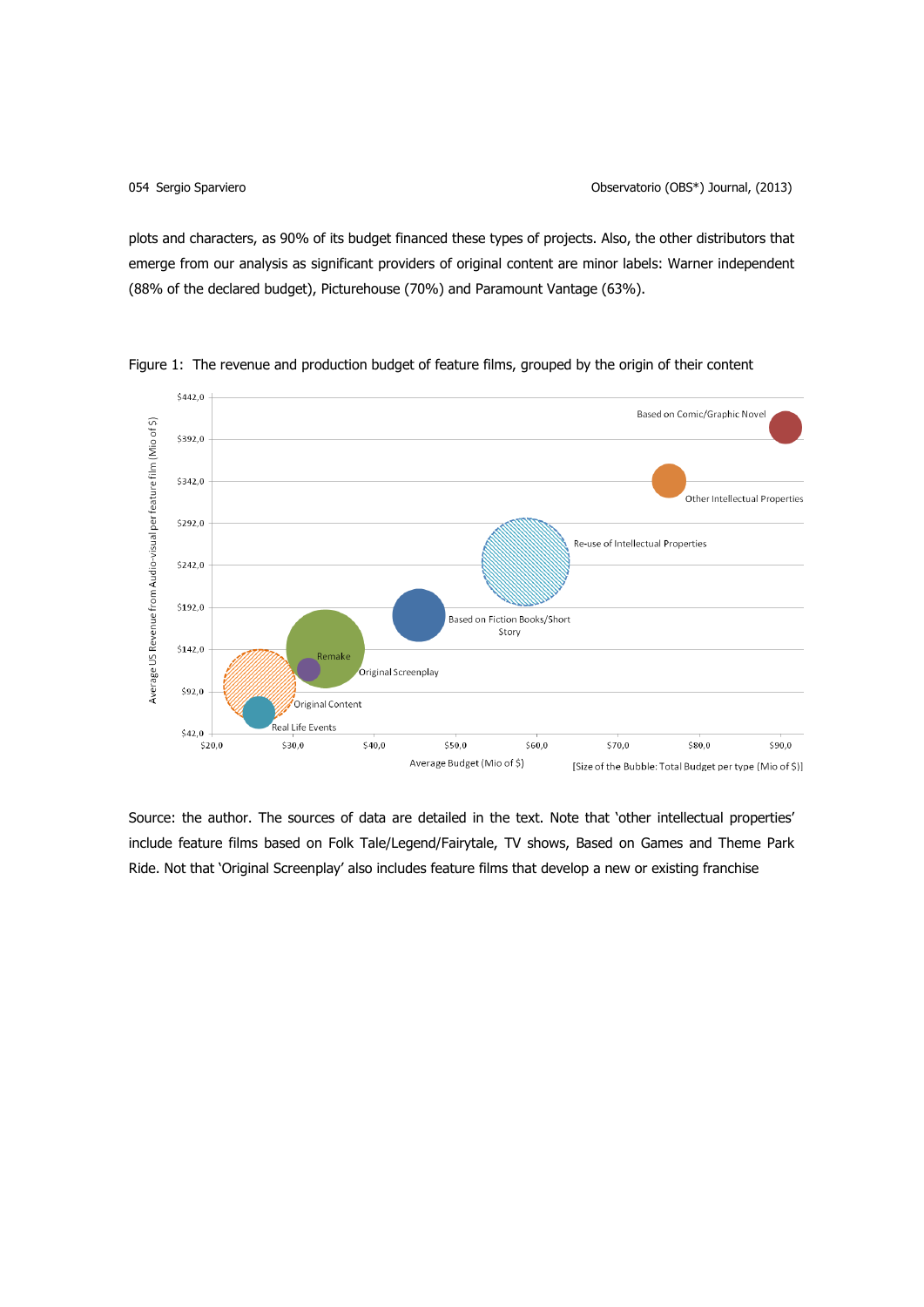plots and characters, as 90% of its budget financed these types of projects. Also, the other distributors that emerge from our analysis as significant providers of original content are minor labels: Warner independent (88% of the declared budget), Picturehouse (70%) and Paramount Vantage (63%).



Figure 1: The revenue and production budget of feature films, grouped by the origin of their content

Source: the author. The sources of data are detailed in the text. Note that 'other intellectual properties' include feature films based on Folk Tale/Legend/Fairytale, TV shows, Based on Games and Theme Park Ride. Not that 'Original Screenplay' also includes feature films that develop a new or existing franchise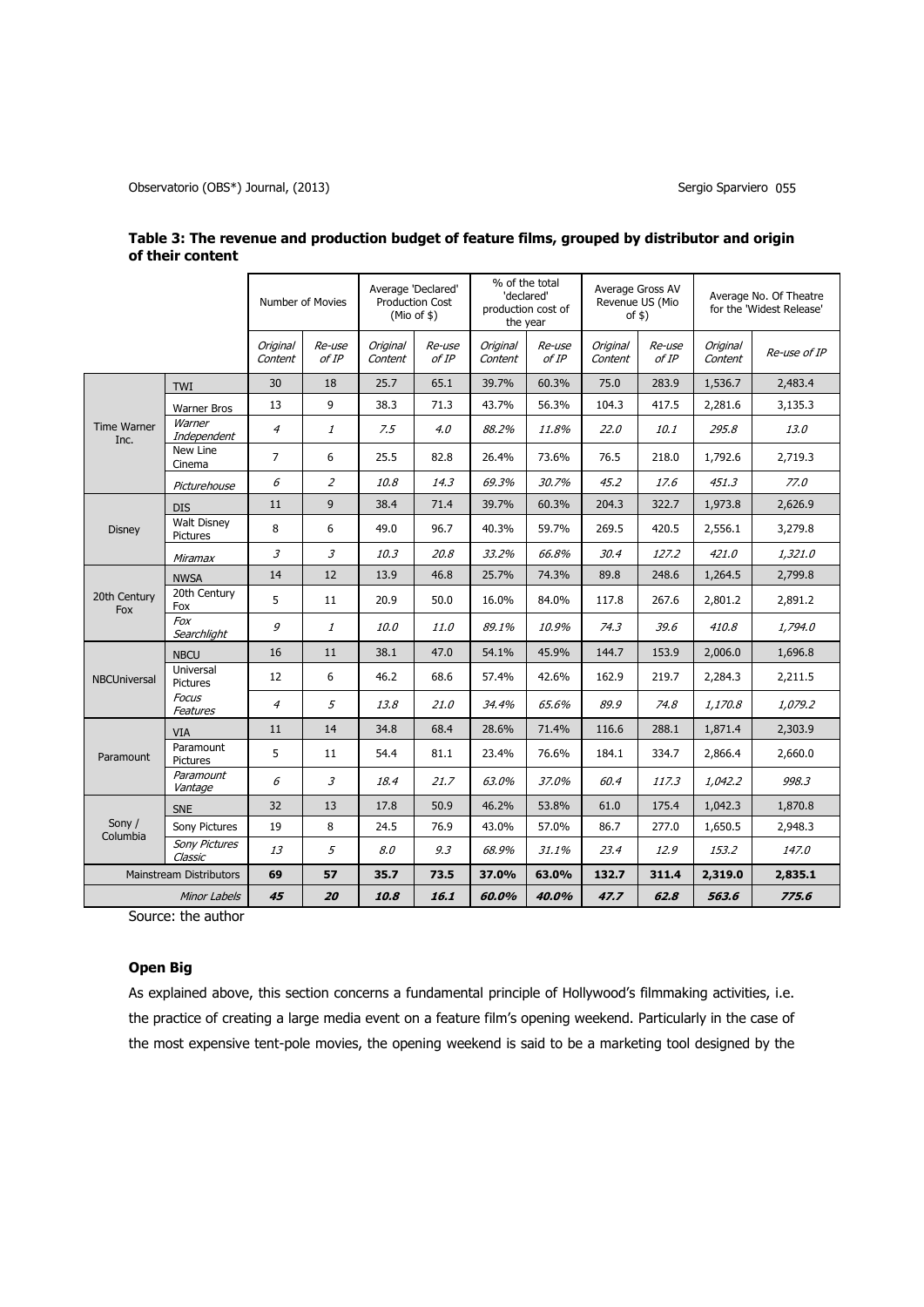Observatorio (OBS\*) Journal, (2013) Sergio Sparviero 055

|                                |                                 | Number of Movies    |                             | Average 'Declared'<br><b>Production Cost</b><br>$(Mio$ of $$)$ |                 | % of the total<br>'declared'<br>production cost of<br>the year |                 | Average Gross AV<br>Revenue US (Mio<br>of $$)$ |                 | Average No. Of Theatre<br>for the 'Widest Release' |              |
|--------------------------------|---------------------------------|---------------------|-----------------------------|----------------------------------------------------------------|-----------------|----------------------------------------------------------------|-----------------|------------------------------------------------|-----------------|----------------------------------------------------|--------------|
|                                |                                 | Original<br>Content | Re-use<br>of IP             | <b>Original</b><br>Content                                     | Re-use<br>of IP | Original<br>Content                                            | Re-use<br>of IP | Original<br>Content                            | Re-use<br>of IP | Original<br>Content                                | Re-use of IP |
|                                | <b>TWI</b>                      | 30                  | 18                          | 25.7                                                           | 65.1            | 39.7%                                                          | 60.3%           | 75.0                                           | 283.9           | 1,536.7                                            | 2,483.4      |
|                                | <b>Warner Bros</b>              | 13                  | 9                           | 38.3                                                           | 71.3            | 43.7%                                                          | 56.3%           | 104.3                                          | 417.5           | 2,281.6                                            | 3,135.3      |
| <b>Time Warner</b><br>Inc.     | Warner<br>Independent           | 4                   | 1                           | 7.5                                                            | 4.0             | 88.2%                                                          | 11.8%           | 22.0                                           | 10.1            | 295.8                                              | 13.0         |
|                                | New Line<br>Cinema              | $\overline{7}$      | 6                           | 25.5                                                           | 82.8            | 26.4%                                                          | 73.6%           | 76.5                                           | 218.0           | 1,792.6                                            | 2,719.3      |
|                                | Picturehouse                    | 6                   | $\overline{z}$              | 10.8                                                           | 14.3            | 69.3%                                                          | 30.7%           | 45.2                                           | 17.6            | 451.3                                              | 77.0         |
|                                | <b>DIS</b>                      | 11                  | 9                           | 38.4                                                           | 71.4            | 39.7%                                                          | 60.3%           | 204.3                                          | 322.7           | 1,973.8                                            | 2,626.9      |
| <b>Disney</b>                  | <b>Walt Disney</b><br>Pictures  | 8                   | 6                           | 49.0                                                           | 96.7            | 40.3%                                                          | 59.7%           | 269.5                                          | 420.5           | 2,556.1                                            | 3,279.8      |
|                                | Miramax                         | 3                   | $\mathfrak{Z}$              | 10.3                                                           | 20.8            | 33.2%                                                          | 66.8%           | 30.4                                           | 127.2           | 421.0                                              | 1,321.0      |
|                                | <b>NWSA</b>                     | 14                  | 12                          | 13.9                                                           | 46.8            | 25.7%                                                          | 74.3%           | 89.8                                           | 248.6           | 1,264.5                                            | 2,799.8      |
| 20th Century<br>Fox            | 20th Century<br>Fox             | 5                   | 11                          | 20.9                                                           | 50.0            | 16.0%                                                          | 84.0%           | 117.8                                          | 267.6           | 2,801.2                                            | 2,891.2      |
|                                | Fox<br>Searchlight              | 9                   | 1                           | 10.0                                                           | 11.0            | 89.1%                                                          | 10.9%           | 74.3                                           | 39.6            | 410.8                                              | 1,794.0      |
|                                | <b>NBCU</b>                     | 16                  | 11                          | 38.1                                                           | 47.0            | 54.1%                                                          | 45.9%           | 144.7                                          | 153.9           | 2,006.0                                            | 1,696.8      |
| <b>NBCUniversal</b>            | Universal<br><b>Pictures</b>    | 12                  | 6                           | 46.2                                                           | 68.6            | 57.4%                                                          | 42.6%           | 162.9                                          | 219.7           | 2,284.3                                            | 2,211.5      |
|                                | <b>Focus</b><br>Features        | $\overline{A}$      | 5                           | 13.8                                                           | 21.0            | 34.4%                                                          | 65.6%           | 89.9                                           | 74.8            | 1,170.8                                            | 1,079.2      |
|                                | <b>VIA</b>                      | 11                  | 14                          | 34.8                                                           | 68.4            | 28.6%                                                          | 71.4%           | 116.6                                          | 288.1           | 1,871.4                                            | 2,303.9      |
| Paramount                      | Paramount<br><b>Pictures</b>    | 5                   | 11                          | 54.4                                                           | 81.1            | 23.4%                                                          | 76.6%           | 184.1                                          | 334.7           | 2,866.4                                            | 2,660.0      |
|                                | Paramount<br>Vantage            | 6                   | $\mathcal{Z}_{\mathcal{Z}}$ | 18.4                                                           | 21.7            | 63.0%                                                          | 37.0%           | 60.4                                           | 117.3           | 1,042.2                                            | 998.3        |
| Sony /<br>Columbia             | <b>SNE</b>                      | 32                  | 13                          | 17.8                                                           | 50.9            | 46.2%                                                          | 53.8%           | 61.0                                           | 175.4           | 1,042.3                                            | 1,870.8      |
|                                | Sony Pictures                   | 19                  | 8                           | 24.5                                                           | 76.9            | 43.0%                                                          | 57.0%           | 86.7                                           | 277.0           | 1,650.5                                            | 2,948.3      |
|                                | <b>Sony Pictures</b><br>Classic | 13                  | 5                           | 8.0                                                            | 9.3             | 68.9%                                                          | 31.1%           | 23.4                                           | 12.9            | 153.2                                              | 147.0        |
| <b>Mainstream Distributors</b> |                                 | 69                  | 57                          | 35.7                                                           | 73.5            | 37.0%                                                          | 63.0%           | 132.7                                          | 311.4           | 2,319.0                                            | 2,835.1      |
| Minor Labels                   |                                 | 45                  | 20                          | 10.8                                                           | 16.1            | 60.0%                                                          | 40.0%           | 47.7                                           | 62.8            | 563.6                                              | 775.6        |

| Table 3: The revenue and production budget of feature films, grouped by distributor and origin |  |
|------------------------------------------------------------------------------------------------|--|
| of their content                                                                               |  |

Source: the author

# **Open Big**

As explained above, this section concerns a fundamental principle of Hollywood's filmmaking activities, i.e. the practice of creating a large media event on a feature film's opening weekend. Particularly in the case of the most expensive tent-pole movies, the opening weekend is said to be a marketing tool designed by the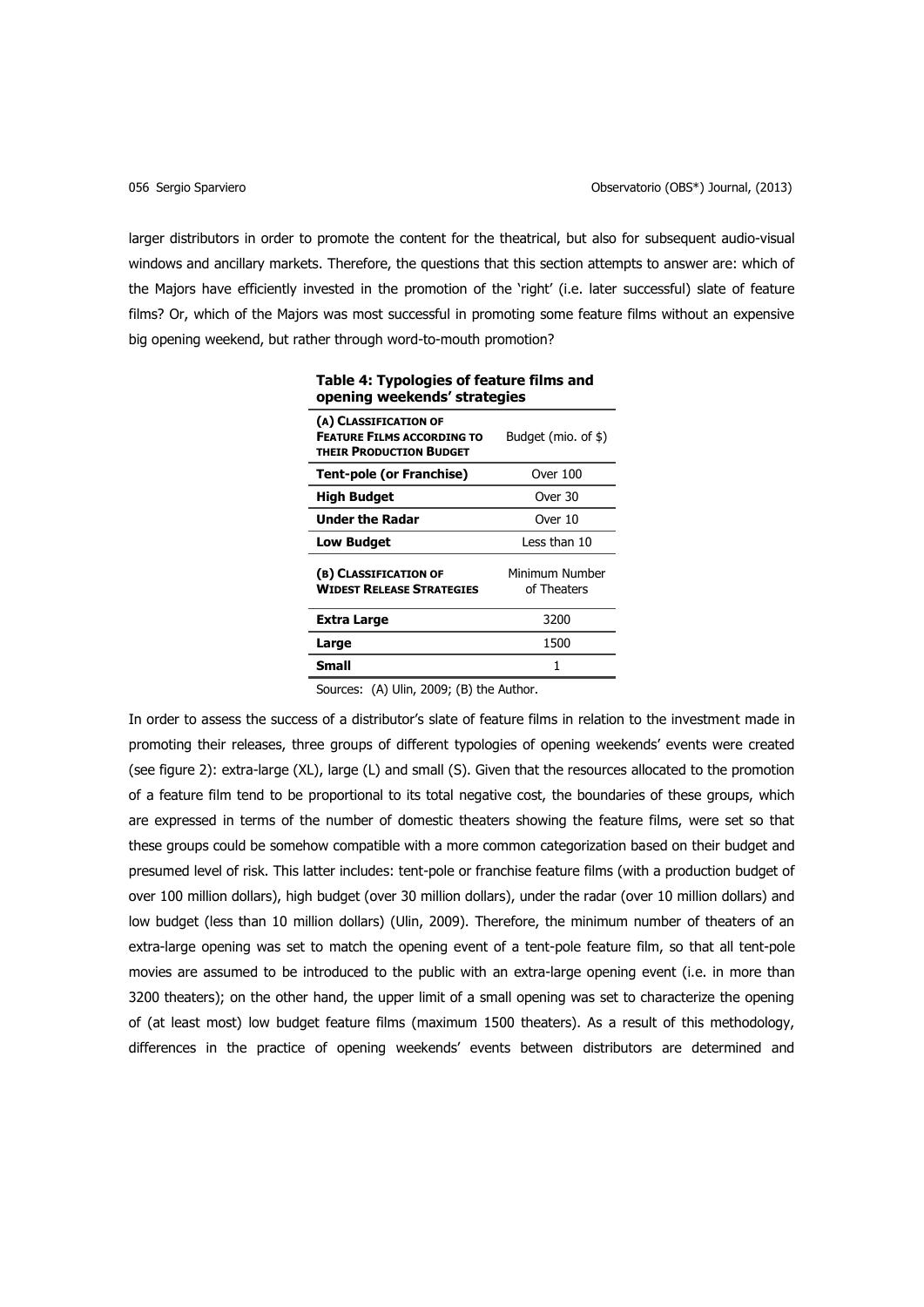larger distributors in order to promote the content for the theatrical, but also for subsequent audio-visual windows and ancillary markets. Therefore, the questions that this section attempts to answer are: which of the Majors have efficiently invested in the promotion of the 'right' (i.e. later successful) slate of feature films? Or, which of the Majors was most successful in promoting some feature films without an expensive big opening weekend, but rather through word-to-mouth promotion?

| opening weekends' strategies                                                                 |                               |  |  |  |  |
|----------------------------------------------------------------------------------------------|-------------------------------|--|--|--|--|
| (A) CLASSIFICATION OF<br><b>FEATURE FILMS ACCORDING TO</b><br><b>THEIR PRODUCTION BUDGET</b> | Budget (mio. of \$)           |  |  |  |  |
| <b>Tent-pole (or Franchise)</b>                                                              | Over 100                      |  |  |  |  |
| <b>High Budget</b>                                                                           | Over 30                       |  |  |  |  |
| <b>Under the Radar</b>                                                                       | Over 10                       |  |  |  |  |
| <b>Low Budget</b>                                                                            | Less than 10                  |  |  |  |  |
| (B) CLASSIFICATION OF<br><b>WIDEST RELEASE STRATEGIES</b>                                    | Minimum Number<br>of Theaters |  |  |  |  |
| Extra Large                                                                                  | 3200                          |  |  |  |  |
| Large                                                                                        | 1500                          |  |  |  |  |
| Small                                                                                        | 1                             |  |  |  |  |

**Table 4: Typologies of feature films and opening weekends' strategies**

Sources: (A) Ulin, 2009; (B) the Author.

In order to assess the success of a distributor's slate of feature films in relation to the investment made in promoting their releases, three groups of different typologies of opening weekends' events were created (see figure 2): extra-large (XL), large (L) and small (S). Given that the resources allocated to the promotion of a feature film tend to be proportional to its total negative cost, the boundaries of these groups, which are expressed in terms of the number of domestic theaters showing the feature films, were set so that these groups could be somehow compatible with a more common categorization based on their budget and presumed level of risk. This latter includes: tent-pole or franchise feature films (with a production budget of over 100 million dollars), high budget (over 30 million dollars), under the radar (over 10 million dollars) and low budget (less than 10 million dollars) (Ulin, 2009). Therefore, the minimum number of theaters of an extra-large opening was set to match the opening event of a tent-pole feature film, so that all tent-pole movies are assumed to be introduced to the public with an extra-large opening event (i.e. in more than 3200 theaters); on the other hand, the upper limit of a small opening was set to characterize the opening of (at least most) low budget feature films (maximum 1500 theaters). As a result of this methodology, differences in the practice of opening weekends' events between distributors are determined and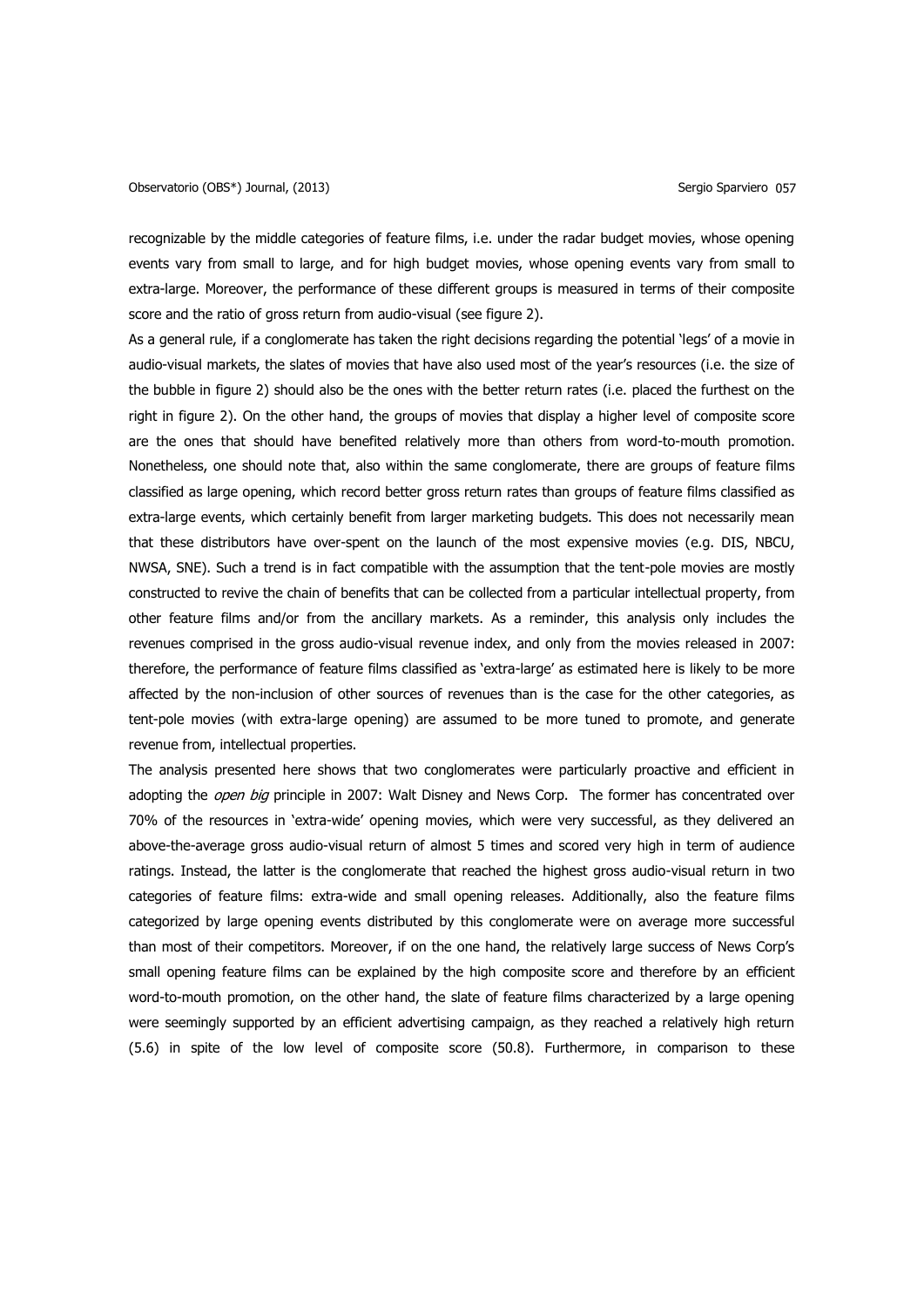recognizable by the middle categories of feature films, i.e. under the radar budget movies, whose opening events vary from small to large, and for high budget movies, whose opening events vary from small to extra-large. Moreover, the performance of these different groups is measured in terms of their composite score and the ratio of gross return from audio-visual (see figure 2).

As a general rule, if a conglomerate has taken the right decisions regarding the potential 'legs' of a movie in audio-visual markets, the slates of movies that have also used most of the year's resources (i.e. the size of the bubble in figure 2) should also be the ones with the better return rates (i.e. placed the furthest on the right in figure 2). On the other hand, the groups of movies that display a higher level of composite score are the ones that should have benefited relatively more than others from word-to-mouth promotion. Nonetheless, one should note that, also within the same conglomerate, there are groups of feature films classified as large opening, which record better gross return rates than groups of feature films classified as extra-large events, which certainly benefit from larger marketing budgets. This does not necessarily mean that these distributors have over-spent on the launch of the most expensive movies (e.g. DIS, NBCU, NWSA, SNE). Such a trend is in fact compatible with the assumption that the tent-pole movies are mostly constructed to revive the chain of benefits that can be collected from a particular intellectual property, from other feature films and/or from the ancillary markets. As a reminder, this analysis only includes the revenues comprised in the gross audio-visual revenue index, and only from the movies released in 2007: therefore, the performance of feature films classified as 'extra-large' as estimated here is likely to be more affected by the non-inclusion of other sources of revenues than is the case for the other categories, as tent-pole movies (with extra-large opening) are assumed to be more tuned to promote, and generate revenue from, intellectual properties.

The analysis presented here shows that two conglomerates were particularly proactive and efficient in adopting the *open big* principle in 2007: Walt Disney and News Corp. The former has concentrated over 70% of the resources in 'extra-wide' opening movies, which were very successful, as they delivered an above-the-average gross audio-visual return of almost 5 times and scored very high in term of audience ratings. Instead, the latter is the conglomerate that reached the highest gross audio-visual return in two categories of feature films: extra-wide and small opening releases. Additionally, also the feature films categorized by large opening events distributed by this conglomerate were on average more successful than most of their competitors. Moreover, if on the one hand, the relatively large success of News Corp's small opening feature films can be explained by the high composite score and therefore by an efficient word-to-mouth promotion, on the other hand, the slate of feature films characterized by a large opening were seemingly supported by an efficient advertising campaign, as they reached a relatively high return (5.6) in spite of the low level of composite score (50.8). Furthermore, in comparison to these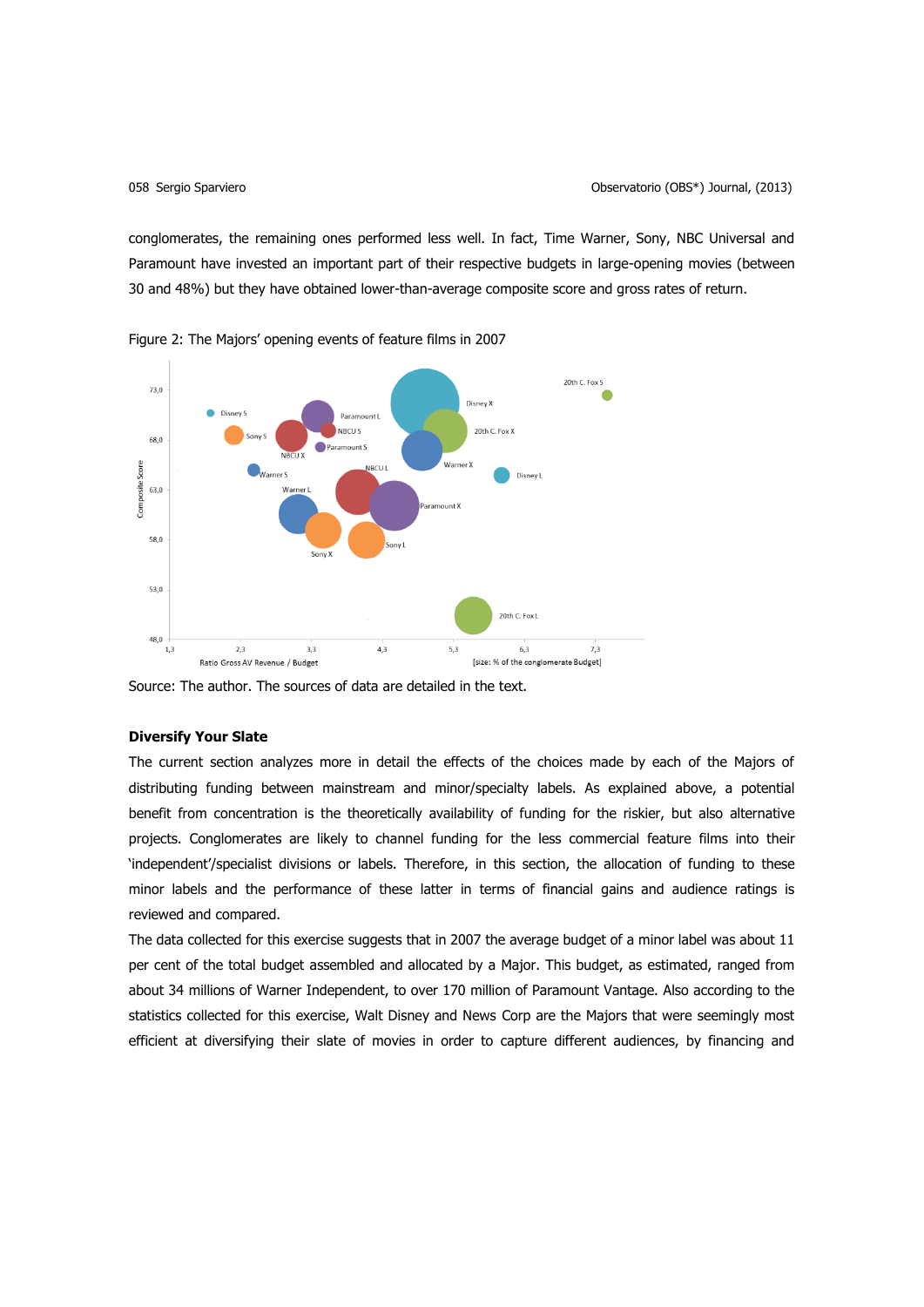conglomerates, the remaining ones performed less well. In fact, Time Warner, Sony, NBC Universal and Paramount have invested an important part of their respective budgets in large-opening movies (between 30 and 48%) but they have obtained lower-than-average composite score and gross rates of return.



Figure 2: The Majors' opening events of feature films in 2007

Source: The author. The sources of data are detailed in the text.

# **Diversify Your Slate**

The current section analyzes more in detail the effects of the choices made by each of the Majors of distributing funding between mainstream and minor/specialty labels. As explained above, a potential benefit from concentration is the theoretically availability of funding for the riskier, but also alternative projects. Conglomerates are likely to channel funding for the less commercial feature films into their 'independent'/specialist divisions or labels. Therefore, in this section, the allocation of funding to these minor labels and the performance of these latter in terms of financial gains and audience ratings is reviewed and compared.

The data collected for this exercise suggests that in 2007 the average budget of a minor label was about 11 per cent of the total budget assembled and allocated by a Major. This budget, as estimated, ranged from about 34 millions of Warner Independent, to over 170 million of Paramount Vantage. Also according to the statistics collected for this exercise, Walt Disney and News Corp are the Majors that were seemingly most efficient at diversifying their slate of movies in order to capture different audiences, by financing and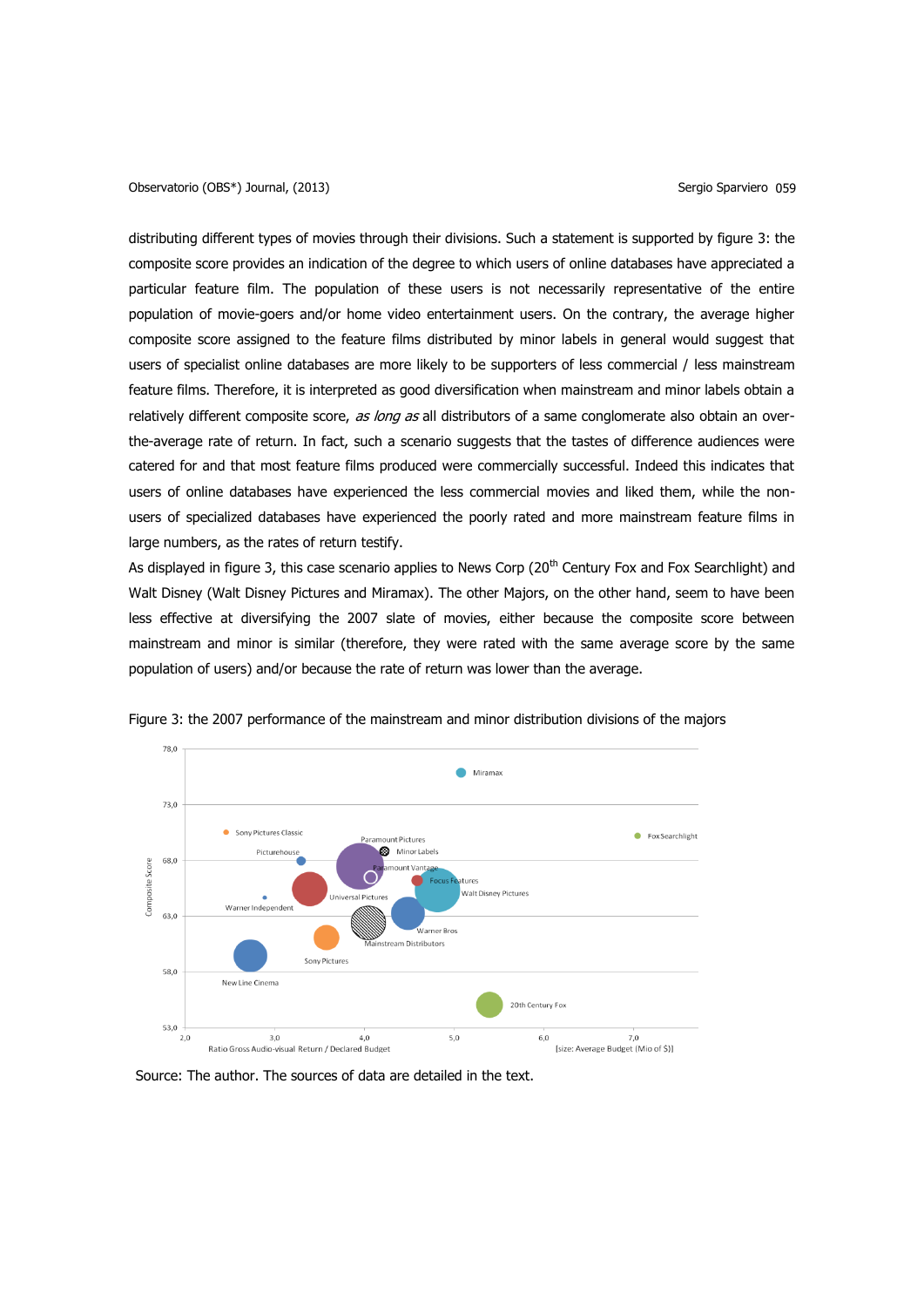Observatorio (OBS<sup>\*</sup>) Journal, (2013) Sergio Sparviero 059

distributing different types of movies through their divisions. Such a statement is supported by figure 3: the composite score provides an indication of the degree to which users of online databases have appreciated a particular feature film. The population of these users is not necessarily representative of the entire population of movie-goers and/or home video entertainment users. On the contrary, the average higher composite score assigned to the feature films distributed by minor labels in general would suggest that users of specialist online databases are more likely to be supporters of less commercial / less mainstream feature films. Therefore, it is interpreted as good diversification when mainstream and minor labels obtain a relatively different composite score, as long as all distributors of a same conglomerate also obtain an overthe-average rate of return. In fact, such a scenario suggests that the tastes of difference audiences were catered for and that most feature films produced were commercially successful. Indeed this indicates that users of online databases have experienced the less commercial movies and liked them, while the nonusers of specialized databases have experienced the poorly rated and more mainstream feature films in large numbers, as the rates of return testify.

As displayed in figure 3, this case scenario applies to News Corp (20<sup>th</sup> Century Fox and Fox Searchlight) and Walt Disney (Walt Disney Pictures and Miramax). The other Majors, on the other hand, seem to have been less effective at diversifying the 2007 slate of movies, either because the composite score between mainstream and minor is similar (therefore, they were rated with the same average score by the same population of users) and/or because the rate of return was lower than the average.



Figure 3: the 2007 performance of the mainstream and minor distribution divisions of the majors

Source: The author. The sources of data are detailed in the text.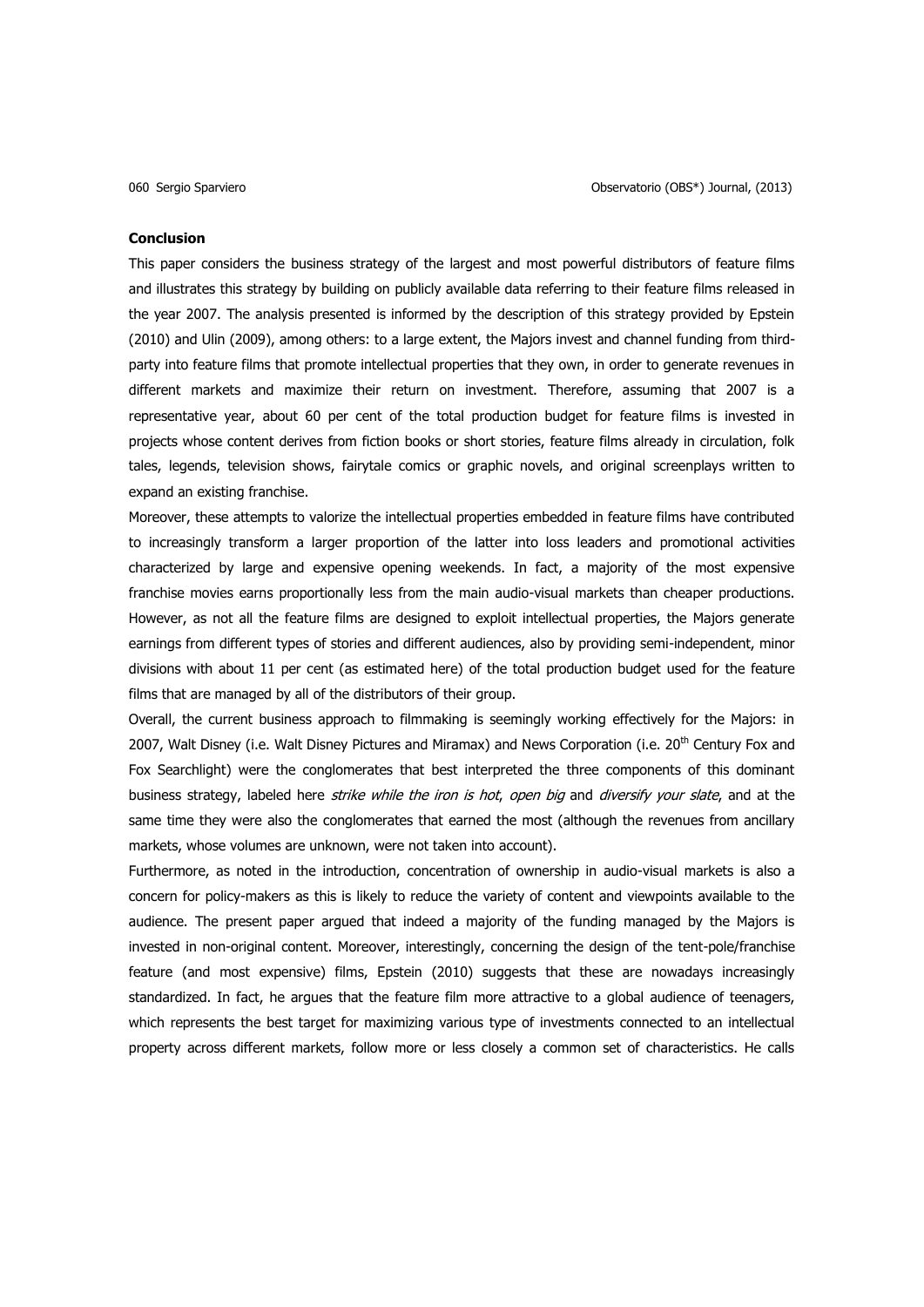#### **Conclusion**

This paper considers the business strategy of the largest and most powerful distributors of feature films and illustrates this strategy by building on publicly available data referring to their feature films released in the year 2007. The analysis presented is informed by the description of this strategy provided by Epstein (2010) and Ulin (2009), among others: to a large extent, the Majors invest and channel funding from thirdparty into feature films that promote intellectual properties that they own, in order to generate revenues in different markets and maximize their return on investment. Therefore, assuming that 2007 is a representative year, about 60 per cent of the total production budget for feature films is invested in projects whose content derives from fiction books or short stories, feature films already in circulation, folk tales, legends, television shows, fairytale comics or graphic novels, and original screenplays written to expand an existing franchise.

Moreover, these attempts to valorize the intellectual properties embedded in feature films have contributed to increasingly transform a larger proportion of the latter into loss leaders and promotional activities characterized by large and expensive opening weekends. In fact, a majority of the most expensive franchise movies earns proportionally less from the main audio-visual markets than cheaper productions. However, as not all the feature films are designed to exploit intellectual properties, the Majors generate earnings from different types of stories and different audiences, also by providing semi-independent, minor divisions with about 11 per cent (as estimated here) of the total production budget used for the feature films that are managed by all of the distributors of their group.

Overall, the current business approach to filmmaking is seemingly working effectively for the Majors: in 2007, Walt Disney (i.e. Walt Disney Pictures and Miramax) and News Corporation (i.e. 20<sup>th</sup> Century Fox and Fox Searchlight) were the conglomerates that best interpreted the three components of this dominant business strategy, labeled here *strike while the iron is hot, open big* and *diversify your slate*, and at the same time they were also the conglomerates that earned the most (although the revenues from ancillary markets, whose volumes are unknown, were not taken into account).

Furthermore, as noted in the introduction, concentration of ownership in audio-visual markets is also a concern for policy-makers as this is likely to reduce the variety of content and viewpoints available to the audience. The present paper argued that indeed a majority of the funding managed by the Majors is invested in non-original content. Moreover, interestingly, concerning the design of the tent-pole/franchise feature (and most expensive) films, Epstein (2010) suggests that these are nowadays increasingly standardized. In fact, he argues that the feature film more attractive to a global audience of teenagers, which represents the best target for maximizing various type of investments connected to an intellectual property across different markets, follow more or less closely a common set of characteristics. He calls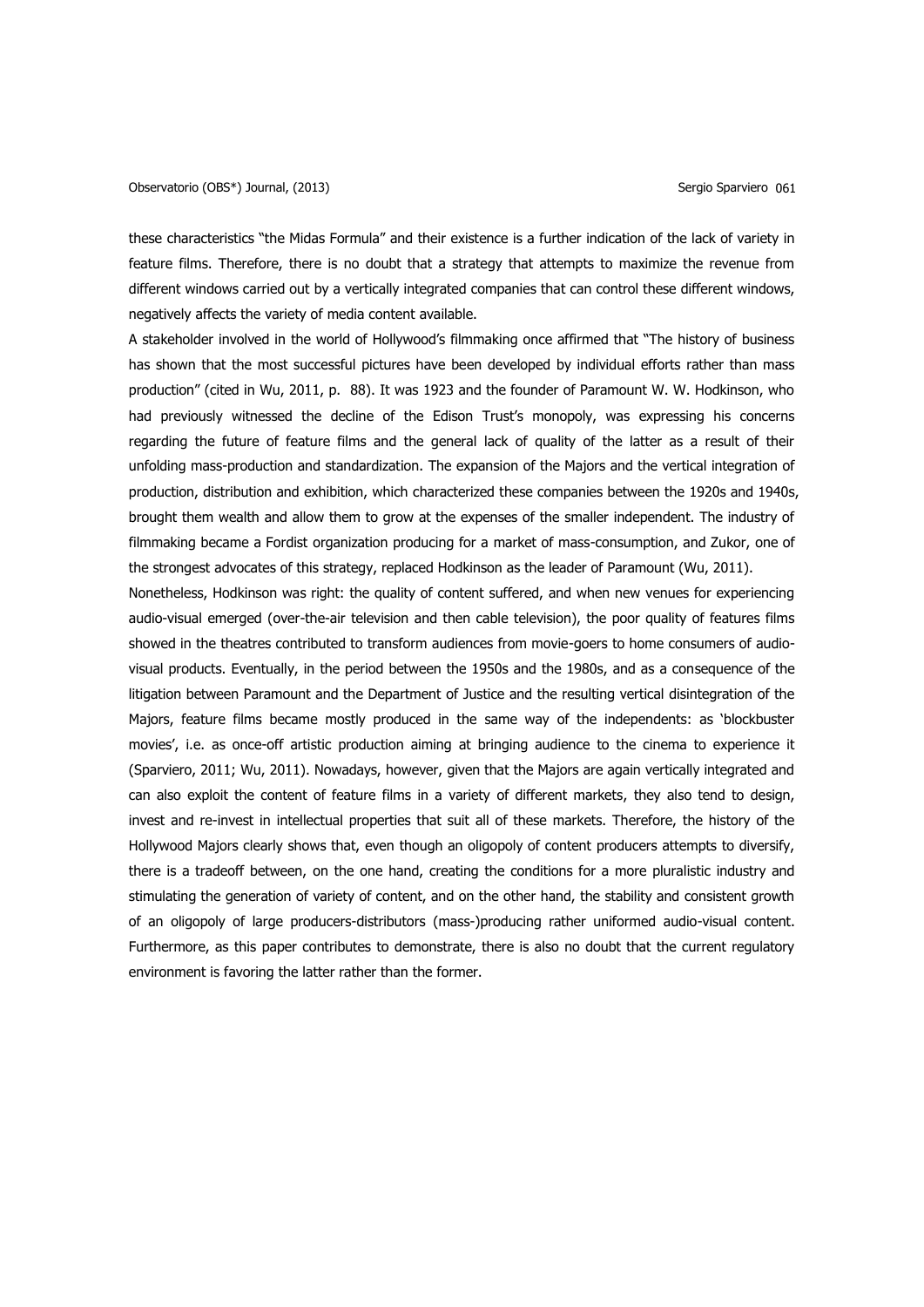these characteristics "the Midas Formula" and their existence is a further indication of the lack of variety in feature films. Therefore, there is no doubt that a strategy that attempts to maximize the revenue from different windows carried out by a vertically integrated companies that can control these different windows, negatively affects the variety of media content available.

A stakeholder involved in the world of Hollywood's filmmaking once affirmed that "The history of business has shown that the most successful pictures have been developed by individual efforts rather than mass production" (cited in Wu, 2011, p. 88). It was 1923 and the founder of Paramount W. W. Hodkinson, who had previously witnessed the decline of the Edison Trust's monopoly, was expressing his concerns regarding the future of feature films and the general lack of quality of the latter as a result of their unfolding mass-production and standardization. The expansion of the Majors and the vertical integration of production, distribution and exhibition, which characterized these companies between the 1920s and 1940s, brought them wealth and allow them to grow at the expenses of the smaller independent. The industry of filmmaking became a Fordist organization producing for a market of mass-consumption, and Zukor, one of the strongest advocates of this strategy, replaced Hodkinson as the leader of Paramount (Wu, 2011).

Nonetheless, Hodkinson was right: the quality of content suffered, and when new venues for experiencing audio-visual emerged (over-the-air television and then cable television), the poor quality of features films showed in the theatres contributed to transform audiences from movie-goers to home consumers of audiovisual products. Eventually, in the period between the 1950s and the 1980s, and as a consequence of the litigation between Paramount and the Department of Justice and the resulting vertical disintegration of the Majors, feature films became mostly produced in the same way of the independents: as 'blockbuster movies', i.e. as once-off artistic production aiming at bringing audience to the cinema to experience it (Sparviero, 2011; Wu, 2011). Nowadays, however, given that the Majors are again vertically integrated and can also exploit the content of feature films in a variety of different markets, they also tend to design, invest and re-invest in intellectual properties that suit all of these markets. Therefore, the history of the Hollywood Majors clearly shows that, even though an oligopoly of content producers attempts to diversify, there is a tradeoff between, on the one hand, creating the conditions for a more pluralistic industry and stimulating the generation of variety of content, and on the other hand, the stability and consistent growth of an oligopoly of large producers-distributors (mass-)producing rather uniformed audio-visual content. Furthermore, as this paper contributes to demonstrate, there is also no doubt that the current regulatory environment is favoring the latter rather than the former.